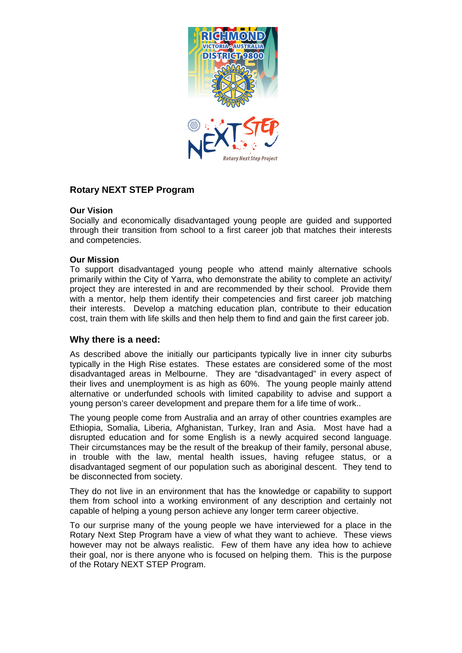

# **Rotary NEXT STEP Program**

### **Our Vision**

Socially and economically disadvantaged young people are guided and supported through their transition from school to a first career job that matches their interests and competencies.

### **Our Mission**

To support disadvantaged young people who attend mainly alternative schools primarily within the City of Yarra, who demonstrate the ability to complete an activity/ project they are interested in and are recommended by their school. Provide them with a mentor, help them identify their competencies and first career job matching their interests. Develop a matching education plan, contribute to their education cost, train them with life skills and then help them to find and gain the first career job.

## **Why there is a need:**

As described above the initially our participants typically live in inner city suburbs typically in the High Rise estates. These estates are considered some of the most disadvantaged areas in Melbourne. They are "disadvantaged" in every aspect of their lives and unemployment is as high as 60%. The young people mainly attend alternative or underfunded schools with limited capability to advise and support a young person's career development and prepare them for a life time of work..

The young people come from Australia and an array of other countries examples are Ethiopia, Somalia, Liberia, Afghanistan, Turkey, Iran and Asia. Most have had a disrupted education and for some English is a newly acquired second language. Their circumstances may be the result of the breakup of their family, personal abuse, in trouble with the law, mental health issues, having refugee status, or a disadvantaged segment of our population such as aboriginal descent. They tend to be disconnected from society.

They do not live in an environment that has the knowledge or capability to support them from school into a working environment of any description and certainly not capable of helping a young person achieve any longer term career objective.

To our surprise many of the young people we have interviewed for a place in the Rotary Next Step Program have a view of what they want to achieve. These views however may not be always realistic. Few of them have any idea how to achieve their goal, nor is there anyone who is focused on helping them. This is the purpose of the Rotary NEXT STEP Program.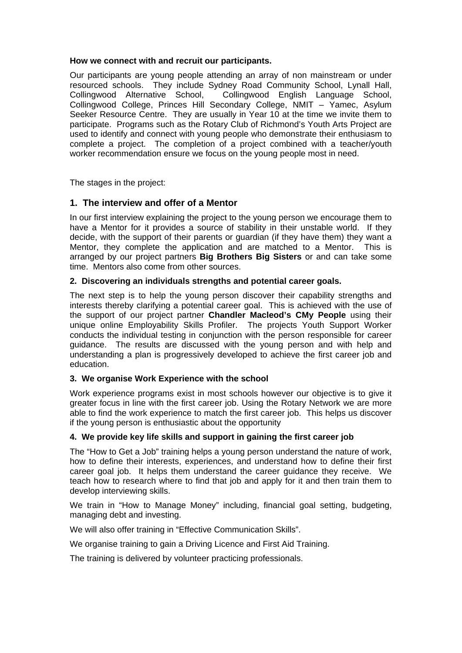#### **How we connect with and recruit our participants.**

Our participants are young people attending an array of non mainstream or under resourced schools. They include Sydney Road Community School, Lynall Hall, Collingwood Alternative School, Collingwood English Language School, Collingwood College, Princes Hill Secondary College, NMIT – Yamec, Asylum Seeker Resource Centre. They are usually in Year 10 at the time we invite them to participate. Programs such as the Rotary Club of Richmond's Youth Arts Project are used to identify and connect with young people who demonstrate their enthusiasm to complete a project. The completion of a project combined with a teacher/youth worker recommendation ensure we focus on the young people most in need.

The stages in the project:

# **1. The interview and offer of a Mentor**

In our first interview explaining the project to the young person we encourage them to have a Mentor for it provides a source of stability in their unstable world. If they decide, with the support of their parents or guardian (if they have them) they want a Mentor, they complete the application and are matched to a Mentor. This is arranged by our project partners **Big Brothers Big Sisters** or and can take some time. Mentors also come from other sources.

## **2. Discovering an individuals strengths and potential career goals.**

The next step is to help the young person discover their capability strengths and interests thereby clarifying a potential career goal. This is achieved with the use of the support of our project partner **Chandler Macleod's CMy People** using their unique online Employability Skills Profiler. The projects Youth Support Worker conducts the individual testing in conjunction with the person responsible for career guidance. The results are discussed with the young person and with help and understanding a plan is progressively developed to achieve the first career job and education.

## **3. We organise Work Experience with the school**

Work experience programs exist in most schools however our objective is to give it greater focus in line with the first career job. Using the Rotary Network we are more able to find the work experience to match the first career job. This helps us discover if the young person is enthusiastic about the opportunity

## **4. We provide key life skills and support in gaining the first career job**

The "How to Get a Job" training helps a young person understand the nature of work, how to define their interests, experiences, and understand how to define their first career goal job. It helps them understand the career guidance they receive. We teach how to research where to find that job and apply for it and then train them to develop interviewing skills.

We train in "How to Manage Money" including, financial goal setting, budgeting, managing debt and investing.

We will also offer training in "Effective Communication Skills".

We organise training to gain a Driving Licence and First Aid Training.

The training is delivered by volunteer practicing professionals.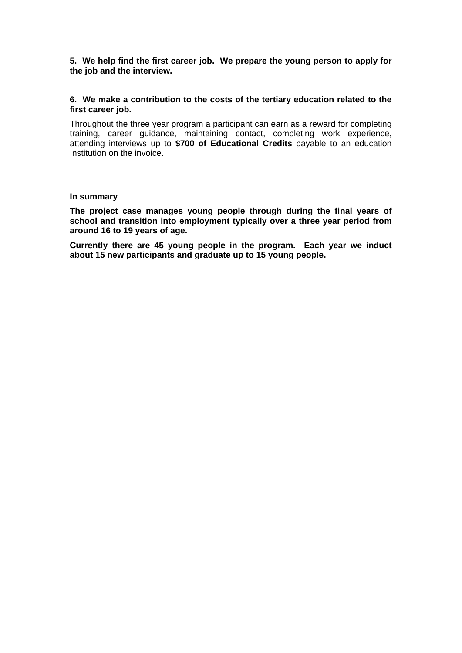**5. We help find the first career job. We prepare the young person to apply for the job and the interview.** 

### **6. We make a contribution to the costs of the tertiary education related to the first career job.**

Throughout the three year program a participant can earn as a reward for completing training, career guidance, maintaining contact, completing work experience, attending interviews up to **\$700 of Educational Credits** payable to an education Institution on the invoice.

#### **In summary**

**The project case manages young people through during the final years of school and transition into employment typically over a three year period from around 16 to 19 years of age.** 

**Currently there are 45 young people in the program. Each year we induct about 15 new participants and graduate up to 15 young people.**